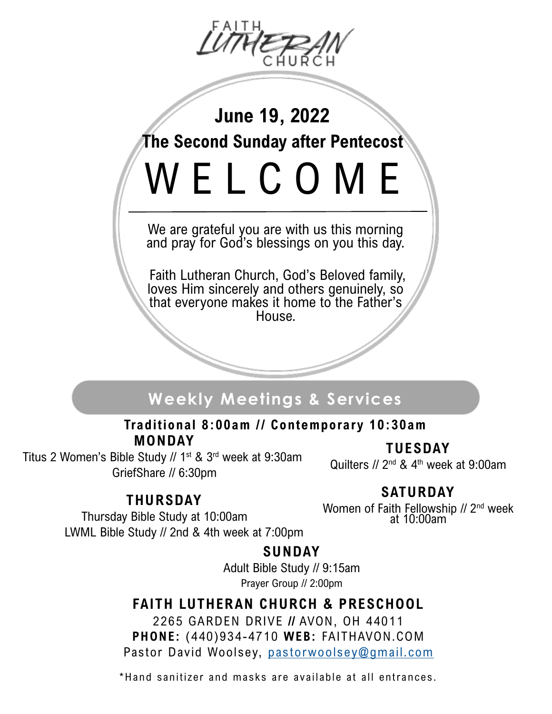

**June 19, 2022**

**The Second Sunday after Pentecost**

W E L C O M E

We are grateful you are with us this morning and pray for God's blessings on you this day.

Faith Lutheran Church, God's Beloved family, loves Him sincerely and others genuinely, so that everyone makes it home to the Father's House.

# **Weekly Meetings & Services**

**MONDAY** Traditional 8:00am // Contemporary 10:30am

Titus 2 Women's Bible Study // 1<sup>st</sup> & 3<sup>rd</sup> week at 9:30am GriefShare // 6:30pm

**TUESDAY**

Quilters  $//$  2<sup>nd</sup> & 4<sup>th</sup> week at 9:00am

## **THURSDAY**

## **SATURDAY**

Thursday Bible Study at 10:00am LWML Bible Study // 2nd & 4th week at 7:00pm Women of Faith Fellowship // 2<sup>nd</sup> week at 10:00am

## **SUNDAY**

Adult Bible Study // 9:15am Prayer Group // 2:00pm

## **FAITH LUTHERAN CHURCH & PRESCHOOL**

2265 GARDEN DRIVE **//** AVON, OH 44011 **PHONE:** (440)934-4710 **WEB:** FAITHAVON.COM Pastor David Woolsey, [pastorwoolsey@gmail.com](mailto:dcwoolsey@gmail.com)

\*Hand sanitizer and masks are available at all entrances.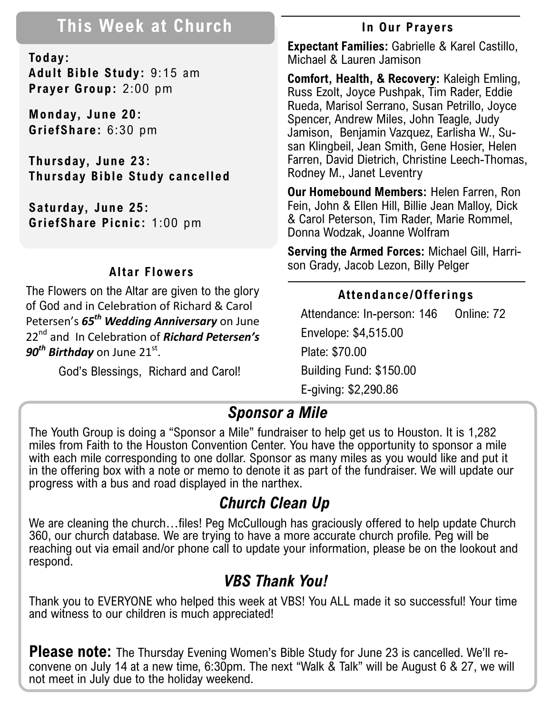# **This Week at Church**

**Today: Adult Bible Study:** 9:15 am **Prayer Group:** 2:00 pm

**Monday, June 20: GriefShare:** 6:30 pm

**Thursday, June 23: Thursday Bible Study cancelled**

**Saturday, June 25: GriefShare Picnic:** 1:00 pm

### **Altar Flowers**

The Flowers on the Altar are given to the glory of God and in Celebration of Richard & Carol Petersen's *65th Wedding Anniversary* on June 22nd and In Celebration of *Richard Petersen's 90<sup>th</sup> Birthday* on June 21<sup>st</sup>.

God's Blessings, Richard and Carol!

### **In Our Prayers**

**Expectant Families:** Gabrielle & Karel Castillo, Michael & Lauren Jamison

**Comfort, Health, & Recovery:** Kaleigh Emling, Russ Ezolt, Joyce Pushpak, Tim Rader, Eddie Rueda, Marisol Serrano, Susan Petrillo, Joyce Spencer, Andrew Miles, John Teagle, Judy Jamison, Benjamin Vazquez, Earlisha W., Susan Klingbeil, Jean Smith, Gene Hosier, Helen Farren, David Dietrich, Christine Leech-Thomas, Rodney M., Janet Leventry

**Our Homebound Members:** Helen Farren, Ron Fein, John & Ellen Hill, Billie Jean Malloy, Dick & Carol Peterson, Tim Rader, Marie Rommel, Donna Wodzak, Joanne Wolfram

**Serving the Armed Forces:** Michael Gill, Harrison Grady, Jacob Lezon, Billy Pelger

### **Attendance/Offerings**

Attendance: In-person: 146 Online: 72 Envelope: \$4,515.00 Plate: \$70.00 Building Fund: \$150.00 E-giving: \$2,290.86

## *Sponsor a Mile*

The Youth Group is doing a "Sponsor a Mile" fundraiser to help get us to Houston. It is 1,282 miles from Faith to the Houston Convention Center. You have the opportunity to sponsor a mile with each mile corresponding to one dollar. Sponsor as many miles as you would like and put it in the offering box with a note or memo to denote it as part of the fundraiser. We will update our progress with a bus and road displayed in the narthex.

# *Church Clean Up*

We are cleaning the church...files! Peg McCullough has graciously offered to help update Church 360, our church database. We are trying to have a more accurate church profile. Peg will be reaching out via email and/or phone call to update your information, please be on the lookout and respond.

## *VBS Thank You!*

Thank you to EVERYONE who helped this week at VBS! You ALL made it so successful! Your time and witness to our children is much appreciated!

**Please note:** The Thursday Evening Women's Bible Study for June 23 is cancelled. We'll reconvene on July 14 at a new time, 6:30pm. The next "Walk & Talk" will be August 6 & 27, we will not meet in July due to the holiday weekend.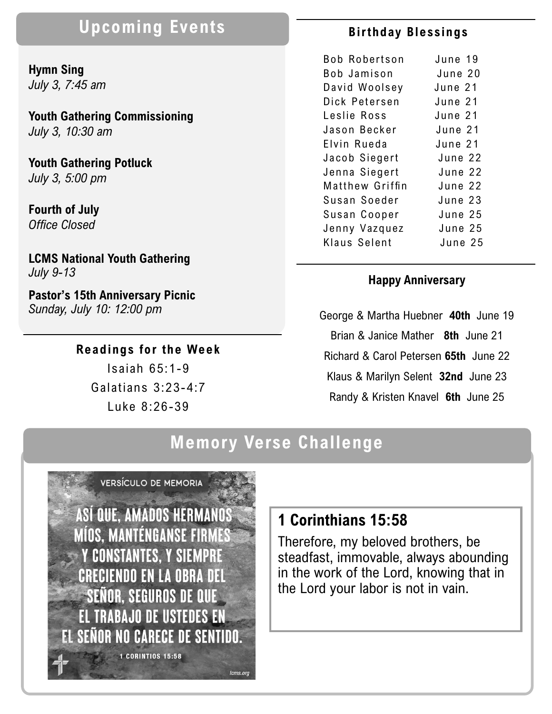# **Upcoming Events**

**Hymn Sing**  *July 3, 7:45 am*

**Youth Gathering Commissioning** *July 3, 10:30 am*

**Youth Gathering Potluck** *July 3, 5:00 pm*

**Fourth of July** *Office Closed*

**LCMS National Youth Gathering** *July 9-13*

**Pastor's 15th Anniversary Picnic** *Sunday, July 10: 12:00 pm*

#### **Readings for the Week**

Isaiah 65:1-9 Galatians 3:23-4:7 Luke 8:26-39

#### **Bir thday Blessings**

| <b>Bob Robertson</b> | June 19 |
|----------------------|---------|
| Bob Jamison          | June 20 |
| David Woolsey        | June 21 |
| Dick Petersen        | June 21 |
| Leslie Ross          | June 21 |
| Jason Becker         | June 21 |
| Elvin Rueda          | June 21 |
| Jacob Siegert        | June 22 |
| Jenna Siegert        | June 22 |
| Matthew Griffin      | June 22 |
| Susan Soeder         | June 23 |
| Susan Cooper         | June 25 |
| Jenny Vazquez        | June 25 |
| Klaus Selent         | June 25 |

#### **Happy Anniversary**

George & Martha Huebner **40th** June 19 Brian & Janice Mather **8th** June 21 Richard & Carol Petersen **65th** June 22 Klaus & Marilyn Selent **32nd**June 23 Randy & Kristen Knavel **6th** June 25

# **Memory Verse Challenge**



## **1 Corinthians 15:58**

Therefore, my beloved brothers, be steadfast, immovable, always abounding in the work of the Lord, knowing that in the Lord your labor is not in vain.